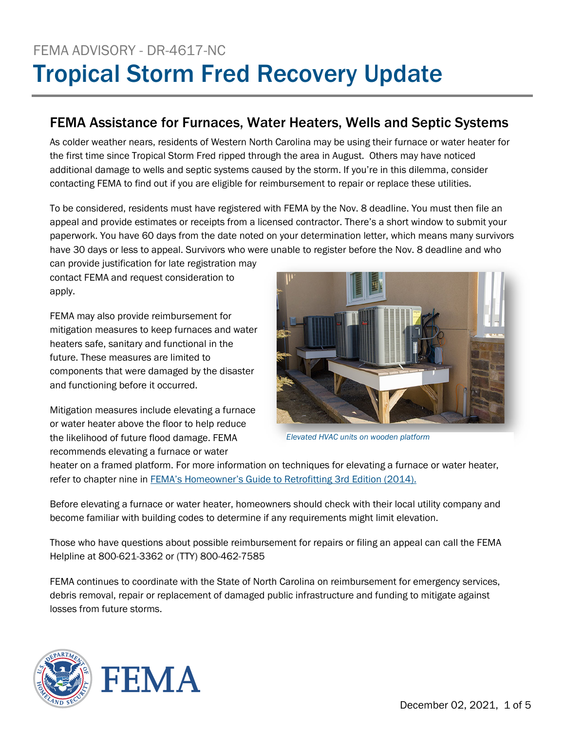# FEMA ADVISORY - DR-4617-NC Tropical Storm Fred Recovery Update

## FEMA Assistance for Furnaces, Water Heaters, Wells and Septic Systems

As colder weather nears, residents of Western North Carolina may be using their furnace or water heater for the first time since Tropical Storm Fred ripped through the area in August. Others may have noticed additional damage to wells and septic systems caused by the storm. If you're in this dilemma, consider contacting FEMA to find out if you are eligible for reimbursement to repair or replace these utilities.

To be considered, residents must have registered with FEMA by the Nov. 8 deadline. You must then file an appeal and provide estimates or receipts from a licensed contractor. There's a short window to submit your paperwork. You have 60 days from the date noted on your determination letter, which means many survivors have 30 days or less to appeal. Survivors who were unable to register before the Nov. 8 deadline and who

can provide justification for late registration may contact FEMA and request consideration to apply.

FEMA may also provide reimbursement for mitigation measures to keep furnaces and water heaters safe, sanitary and functional in the future. These measures are limited to components that were damaged by the disaster and functioning before it occurred.

Mitigation measures include elevating a furnace or water heater above the floor to help reduce the likelihood of future flood damage. FEMA recommends elevating a furnace or water



*Elevated HVAC units on wooden platform*

heater on a framed platform. For more information on techniques for elevating a furnace or water heater, refer to chapter nine in [FEMA's Homeowner's Guide to Retrofitting 3rd Edition \(2014\).](https://www.fema.gov/sites/default/files/2020-08/FEMA_P-312.pdf)

Before elevating a furnace or water heater, homeowners should check with their local utility company and become familiar with building codes to determine if any requirements might limit elevation.

Those who have questions about possible reimbursement for repairs or filing an appeal can call the FEMA Helpline at 800-621-3362 or (TTY) 800-462-7585

FEMA continues to coordinate with the State of North Carolina on reimbursement for emergency services, debris removal, repair or replacement of damaged public infrastructure and funding to mitigate against losses from future storms.

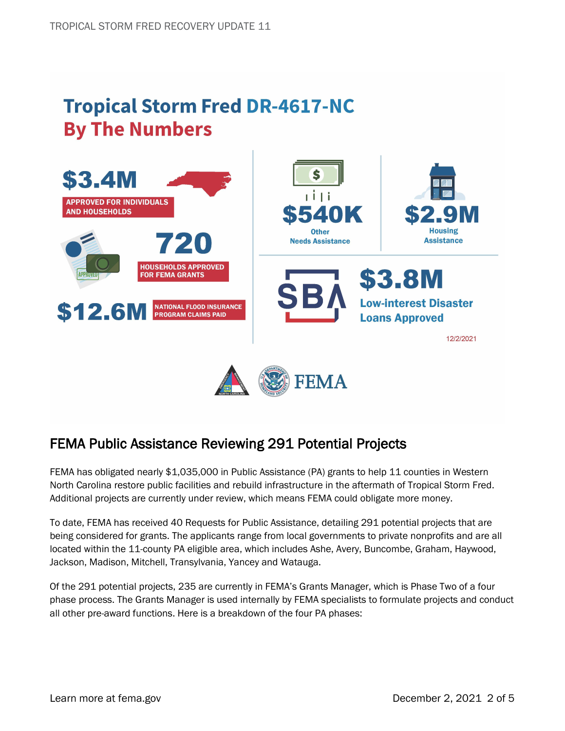## **Tropical Storm Fred DR-4617-NC By The Numbers**



### FEMA Public Assistance Reviewing 291 Potential Projects

FEMA has obligated nearly \$1,035,000 in Public Assistance (PA) grants to help 11 counties in Western North Carolina restore public facilities and rebuild infrastructure in the aftermath of Tropical Storm Fred. Additional projects are currently under review, which means FEMA could obligate more money.

To date, FEMA has received 40 Requests for Public Assistance, detailing 291 potential projects that are being considered for grants. The applicants range from local governments to private nonprofits and are all located within the 11-county PA eligible area, which includes Ashe, Avery, Buncombe, Graham, Haywood, Jackson, Madison, Mitchell, Transylvania, Yancey and Watauga.

Of the 291 potential projects, 235 are currently in FEMA's Grants Manager, which is Phase Two of a four phase process. The Grants Manager is used internally by FEMA specialists to formulate projects and conduct all other pre-award functions. Here is a breakdown of the four PA phases: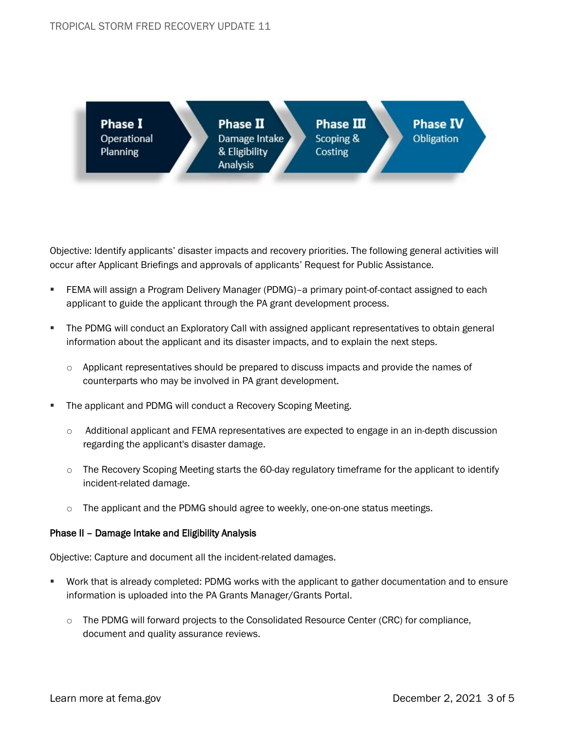

Objective: Identify applicants' disaster impacts and recovery priorities. The following general activities will occur after Applicant Briefings and approvals of applicants' Request for Public Assistance.

- FEMA will assign a Program Delivery Manager (PDMG)–a primary point-of-contact assigned to each applicant to guide the applicant through the PA grant development process.
- The PDMG will conduct an Exploratory Call with assigned applicant representatives to obtain general information about the applicant and its disaster impacts, and to explain the next steps.
	- Applicant representatives should be prepared to discuss impacts and provide the names of counterparts who may be involved in PA grant development.
- The applicant and PDMG will conduct a Recovery Scoping Meeting.
	- $\circ$  Additional applicant and FEMA representatives are expected to engage in an in-depth discussion regarding the applicant's disaster damage.
	- $\circ$  The Recovery Scoping Meeting starts the 60-day regulatory timeframe for the applicant to identify incident-related damage.
	- $\circ$  The applicant and the PDMG should agree to weekly, one-on-one status meetings.

#### Phase II – Damage Intake and Eligibility Analysis

Objective: Capture and document all the incident-related damages.

- Work that is already completed: PDMG works with the applicant to gather documentation and to ensure information is uploaded into the PA Grants Manager/Grants Portal.
	- The PDMG will forward projects to the Consolidated Resource Center (CRC) for compliance, document and quality assurance reviews.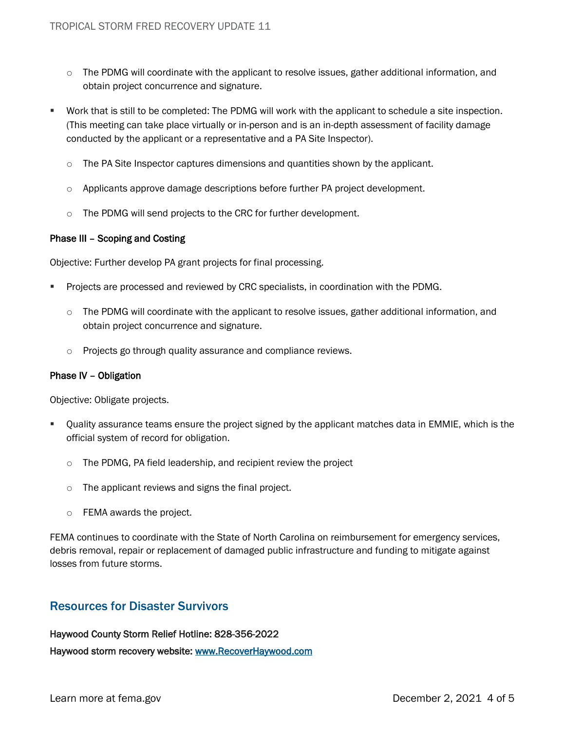- $\circ$  The PDMG will coordinate with the applicant to resolve issues, gather additional information, and obtain project concurrence and signature.
- Work that is still to be completed: The PDMG will work with the applicant to schedule a site inspection. (This meeting can take place virtually or in-person and is an in-depth assessment of facility damage conducted by the applicant or a representative and a PA Site Inspector).
	- $\circ$  The PA Site Inspector captures dimensions and quantities shown by the applicant.
	- $\circ$  Applicants approve damage descriptions before further PA project development.
	- o The PDMG will send projects to the CRC for further development.

#### Phase III – Scoping and Costing

Objective: Further develop PA grant projects for final processing.

- Projects are processed and reviewed by CRC specialists, in coordination with the PDMG.
	- $\circ$  The PDMG will coordinate with the applicant to resolve issues, gather additional information, and obtain project concurrence and signature.
	- o Projects go through quality assurance and compliance reviews.

#### Phase IV – Obligation

Objective: Obligate projects.

- Quality assurance teams ensure the project signed by the applicant matches data in EMMIE, which is the official system of record for obligation.
	- o The PDMG, PA field leadership, and recipient review the project
	- o The applicant reviews and signs the final project.
	- o FEMA awards the project.

FEMA continues to coordinate with the State of North Carolina on reimbursement for emergency services, debris removal, repair or replacement of damaged public infrastructure and funding to mitigate against losses from future storms.

### Resources for Disaster Survivors

Haywood County Storm Relief Hotline: 828-356-2022 Haywood storm recovery website: [www.RecoverHaywood.com](http://www.recoverhaywood.com/)